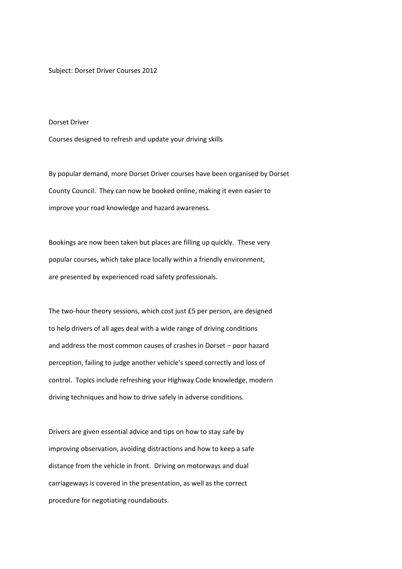Subject: Dorset Driver Courses 2012

## Dorset Driver

Courses designed to refresh and update your driving skills

By popular demand, more Dorset Driver courses have been organised by Dorset County Council. They can now be booked online, making it even easier to improve your road knowledge and hazard awareness.

Bookings are now been taken but places are filling up quickly. These very popular courses, which take place locally within a friendly environment, are presented by experienced road safety professionals.

The two-hour theory sessions, which cost just £5 per person, are designed to help drivers of all ages deal with a wide range of driving conditions and address the most common causes of crashes in Dorset – poor hazard perception, failing to judge another vehicle's speed correctly and loss of control. Topics include refreshing your Highway Code knowledge, modern driving techniques and how to drive safely in adverse conditions.

Drivers are given essential advice and tips on how to stay safe by improving observation, avoiding distractions and how to keep a safe distance from the vehicle in front. Driving on motorways and dual carriageways is covered in the presentation, as well as the correct procedure for negotiating roundabouts.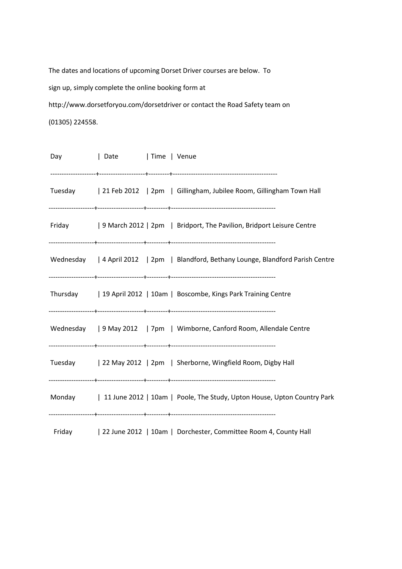The dates and locations of upcoming Dorset Driver courses are below. To sign up, simply complete the online booking form at http://www.dorsetforyou.com/dorsetdriver or contact the Road Safety team on (01305) 224558.

| Day | Date   Time   Venue |  |                                                                                     |
|-----|---------------------|--|-------------------------------------------------------------------------------------|
|     |                     |  | Tuesday   21 Feb 2012   2pm   Gillingham, Jubilee Room, Gillingham Town Hall        |
|     |                     |  | Friday 19 March 2012   2pm   Bridport, The Pavilion, Bridport Leisure Centre        |
|     |                     |  | Wednesday   4 April 2012   2pm   Blandford, Bethany Lounge, Blandford Parish Centre |
|     |                     |  | Thursday   19 April 2012   10am   Boscombe, Kings Park Training Centre              |
|     |                     |  | Wednesday   9 May 2012   7pm   Wimborne, Canford Room, Allendale Centre             |
|     |                     |  | Tuesday   22 May 2012   2pm   Sherborne, Wingfield Room, Digby Hall                 |
|     |                     |  | Monday 11 June 2012   10am   Poole, The Study, Upton House, Upton Country Park      |
|     |                     |  | Friday   22 June 2012   10am   Dorchester, Committee Room 4, County Hall            |